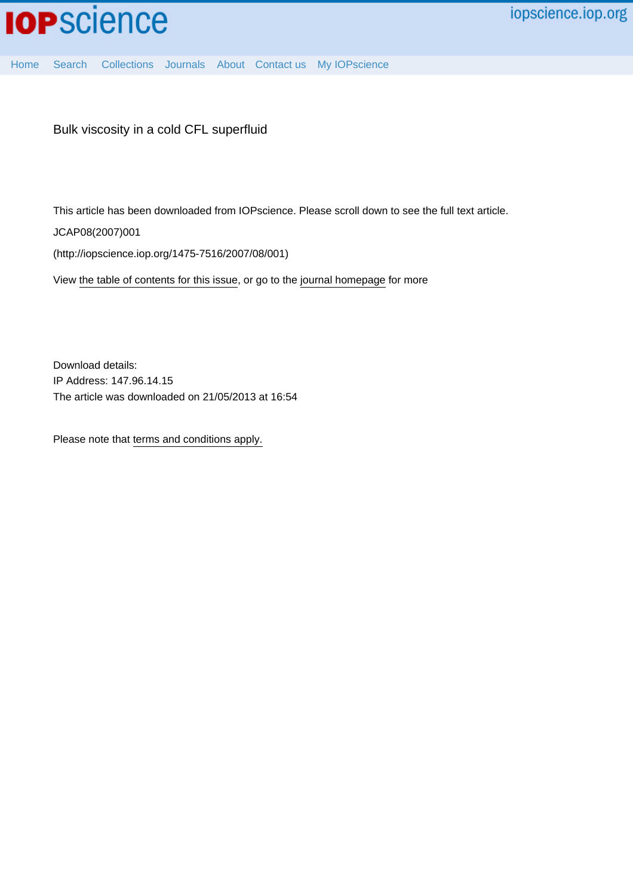

[Home](http://iopscience.iop.org/) [Search](http://iopscience.iop.org/search) [Collections](http://iopscience.iop.org/collections) [Journals](http://iopscience.iop.org/journals) [About](http://iopscience.iop.org/page/aboutioppublishing) [Contact us](http://iopscience.iop.org/contact) [My IOPscience](http://iopscience.iop.org/myiopscience)

Bulk viscosity in a cold CFL superfluid

This article has been downloaded from IOPscience. Please scroll down to see the full text article.

JCAP08(2007)001

(http://iopscience.iop.org/1475-7516/2007/08/001)

View [the table of contents for this issue](http://iopscience.iop.org/1475-7516/2007/08), or go to the [journal homepage](http://iopscience.iop.org/1475-7516) for more

Download details: IP Address: 147.96.14.15 The article was downloaded on 21/05/2013 at 16:54

Please note that [terms and conditions apply.](http://iopscience.iop.org/page/terms)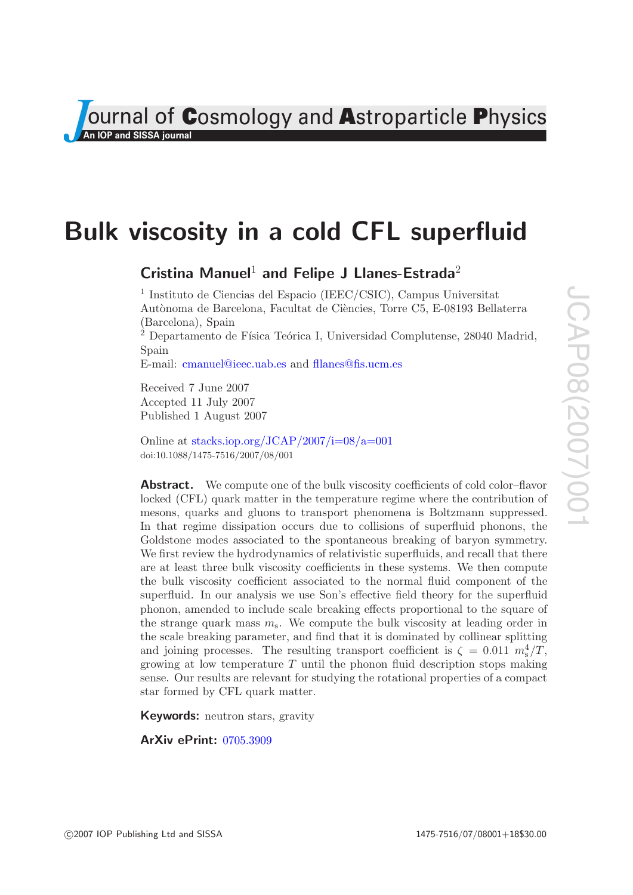100(2002)80dVOL JCAP08(2007)001

**ZOUTHAL OF COSMOLOGY and Astroparticle Physics** 

# **Bulk viscosity in a cold CFL superfluid**

**Cristina Manuel**<sup>1</sup> **and Felipe J Llanes-Estrada**<sup>2</sup>

<sup>1</sup> Instituto de Ciencias del Espacio (IEEC/CSIC), Campus Universitat Autònoma de Barcelona, Facultat de Ciències, Torre C5, E-08193 Bellaterra (Barcelona), Spain

 $2$  Departamento de Física Teórica I, Universidad Complutense, 28040 Madrid, Spain

E-mail: [cmanuel@ieec.uab.es](mailto:cmanuel@ieec.uab.es) and [fllanes@fis.ucm.es](mailto:fllanes@fis.ucm.es)

Received 7 June 2007 Accepted 11 July 2007 Published 1 August 2007

Online at [stacks.iop.org/JCAP/2007/i=08/a=001](http://stacks.iop.org/JCAP/2007/i=08/a=001) doi:10.1088/1475-7516/2007/08/001

**Abstract.** We compute one of the bulk viscosity coefficients of cold color–flavor locked (CFL) quark matter in the temperature regime where the contribution of mesons, quarks and gluons to transport phenomena is Boltzmann suppressed. In that regime dissipation occurs due to collisions of superfluid phonons, the Goldstone modes associated to the spontaneous breaking of baryon symmetry. We first review the hydrodynamics of relativistic superfluids, and recall that there are at least three bulk viscosity coefficients in these systems. We then compute the bulk viscosity coefficient associated to the normal fluid component of the superfluid. In our analysis we use Son's effective field theory for the superfluid phonon, amended to include scale breaking effects proportional to the square of the strange quark mass  $m_s$ . We compute the bulk viscosity at leading order in the scale breaking parameter, and find that it is dominated by collinear splitting and joining processes. The resulting transport coefficient is  $\zeta = 0.011 \, m_s^4/T$ , growing at low temperature  $T$  until the phonon fluid description stops making sense. Our results are relevant for studying the rotational properties of a compact star formed by CFL quark matter.

**Keywords:** neutron stars, gravity

**ArXiv ePrint:** [0705.3909](http://arxiv.org/abs/0705.3909)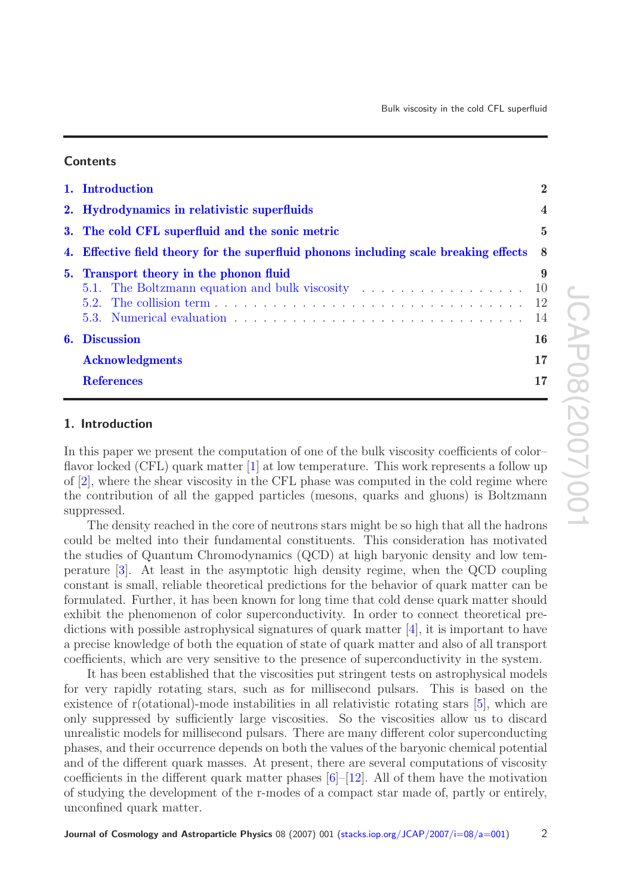## **Contents**

| 1. Introduction                                                                                                                                                                                            | $\overline{2}$            |  |
|------------------------------------------------------------------------------------------------------------------------------------------------------------------------------------------------------------|---------------------------|--|
| 2. Hydrodynamics in relativistic superfluids                                                                                                                                                               |                           |  |
| 3. The cold CFL superfluid and the sonic metric                                                                                                                                                            |                           |  |
| 4. Effective field theory for the superfluid phonons including scale breaking effects                                                                                                                      | $\overline{\phantom{0}}8$ |  |
| 5. Transport theory in the phonon fluid<br>5.1. The Boltzmann equation and bulk viscosity<br>5.2. The collision term $\ldots \ldots \ldots \ldots \ldots \ldots \ldots \ldots \ldots \ldots \ldots \ldots$ | 9<br>10<br>-12<br>-14     |  |
| 6. Discussion                                                                                                                                                                                              | 16                        |  |
| <b>Acknowledgments</b>                                                                                                                                                                                     | 17                        |  |
| <b>References</b>                                                                                                                                                                                          | $17\,$                    |  |

# <span id="page-2-0"></span>**1. Introduction**

In this paper we present the computation of one of the bulk viscosity coefficients of color– flavor locked (CFL) quark matter [\[1\]](#page-17-3) at low temperature. This work represents a follow up of [\[2\]](#page-17-4), where the shear viscosity in the CFL phase was computed in the cold regime where the contribution of all the gapped particles (mesons, quarks and gluons) is Boltzmann suppressed.

The density reached in the core of neutrons stars might be so high that all the hadrons could be melted into their fundamental constituents. This consideration has motivated the studies of Quantum Chromodynamics (QCD) at high baryonic density and low temperature [\[3\]](#page-17-5). At least in the asymptotic high density regime, when the QCD coupling constant is small, reliable theoretical predictions for the behavior of quark matter can be formulated. Further, it has been known for long time that cold dense quark matter should exhibit the phenomenon of color superconductivity. In order to connect theoretical predictions with possible astrophysical signatures of quark matter [\[4\]](#page-18-0), it is important to have a precise knowledge of both the equation of state of quark matter and also of all transport coefficients, which are very sensitive to the presence of superconductivity in the system.

It has been established that the viscosities put stringent tests on astrophysical models for very rapidly rotating stars, such as for millisecond pulsars. This is based on the existence of r(otational)-mode instabilities in all relativistic rotating stars [\[5\]](#page-18-1), which are only suppressed by sufficiently large viscosities. So the viscosities allow us to discard unrealistic models for millisecond pulsars. There are many different color superconducting phases, and their occurrence depends on both the values of the baryonic chemical potential and of the different quark masses. At present, there are several computations of viscosity coefficients in the different quark matter phases  $[6]-[12]$  $[6]-[12]$  $[6]-[12]$ . All of them have the motivation of studying the development of the r-modes of a compact star made of, partly or entirely, unconfined quark matter.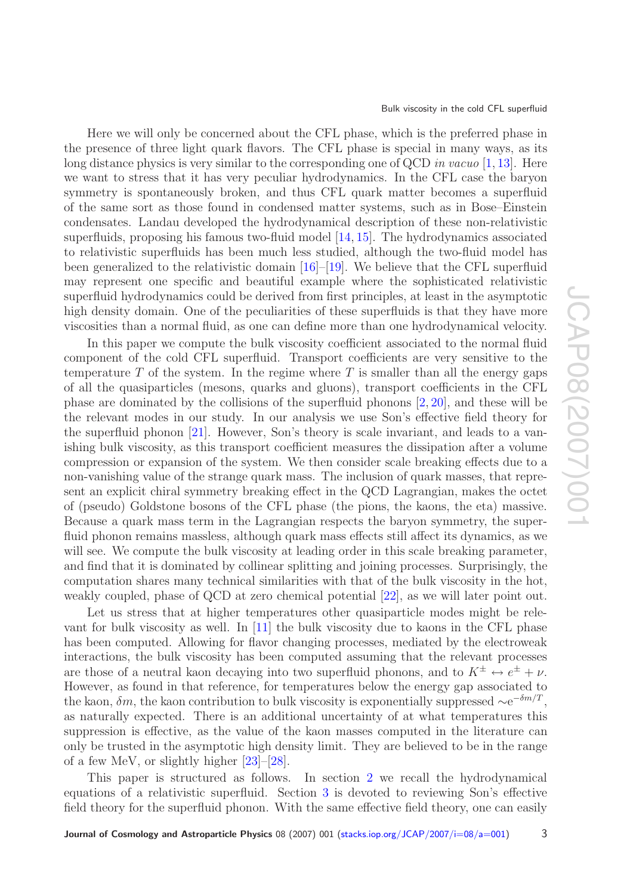Here we will only be concerned about the CFL phase, which is the preferred phase in the presence of three light quark flavors. The CFL phase is special in many ways, as its long distance physics is very similar to the corresponding one of QCD in vacuo [\[1,](#page-17-3) [13\]](#page-18-4). Here we want to stress that it has very peculiar hydrodynamics. In the CFL case the baryon symmetry is spontaneously broken, and thus CFL quark matter becomes a superfluid of the same sort as those found in condensed matter systems, such as in Bose–Einstein condensates. Landau developed the hydrodynamical description of these non-relativistic superfluids, proposing his famous two-fluid model [\[14,](#page-18-5) [15\]](#page-18-6). The hydrodynamics associated to relativistic superfluids has been much less studied, although the two-fluid model has been generalized to the relativistic domain  $[16]$ –[\[19\]](#page-18-8). We believe that the CFL superfluid may represent one specific and beautiful example where the sophisticated relativistic superfluid hydrodynamics could be derived from first principles, at least in the asymptotic high density domain. One of the peculiarities of these superfluids is that they have more viscosities than a normal fluid, as one can define more than one hydrodynamical velocity.

In this paper we compute the bulk viscosity coefficient associated to the normal fluid component of the cold CFL superfluid. Transport coefficients are very sensitive to the temperature  $T$  of the system. In the regime where  $T$  is smaller than all the energy gaps of all the quasiparticles (mesons, quarks and gluons), transport coefficients in the CFL phase are dominated by the collisions of the superfluid phonons [\[2,](#page-17-4) [20\]](#page-18-9), and these will be the relevant modes in our study. In our analysis we use Son's effective field theory for the superfluid phonon [\[21\]](#page-18-10). However, Son's theory is scale invariant, and leads to a vanishing bulk viscosity, as this transport coefficient measures the dissipation after a volume compression or expansion of the system. We then consider scale breaking effects due to a non-vanishing value of the strange quark mass. The inclusion of quark masses, that represent an explicit chiral symmetry breaking effect in the QCD Lagrangian, makes the octet of (pseudo) Goldstone bosons of the CFL phase (the pions, the kaons, the eta) massive. Because a quark mass term in the Lagrangian respects the baryon symmetry, the superfluid phonon remains massless, although quark mass effects still affect its dynamics, as we will see. We compute the bulk viscosity at leading order in this scale breaking parameter, and find that it is dominated by collinear splitting and joining processes. Surprisingly, the computation shares many technical similarities with that of the bulk viscosity in the hot, weakly coupled, phase of QCD at zero chemical potential [\[22\]](#page-18-11), as we will later point out.

Let us stress that at higher temperatures other quasiparticle modes might be relevant for bulk viscosity as well. In [\[11\]](#page-18-12) the bulk viscosity due to kaons in the CFL phase has been computed. Allowing for flavor changing processes, mediated by the electroweak interactions, the bulk viscosity has been computed assuming that the relevant processes are those of a neutral kaon decaying into two superfluid phonons, and to  $K^{\pm} \leftrightarrow e^{\pm} + \nu$ . However, as found in that reference, for temperatures below the energy gap associated to the kaon,  $\delta m$ , the kaon contribution to bulk viscosity is exponentially suppressed  $\sim e^{-\delta m/T}$ , as naturally expected. There is an additional uncertainty of at what temperatures this suppression is effective, as the value of the kaon masses computed in the literature can only be trusted in the asymptotic high density limit. They are believed to be in the range of a few MeV, or slightly higher [\[23\]](#page-18-13)–[\[28\]](#page-18-14).

This paper is structured as follows. In section [2](#page-4-0) we recall the hydrodynamical equations of a relativistic superfluid. Section [3](#page-5-0) is devoted to reviewing Son's effective field theory for the superfluid phonon. With the same effective field theory, one can easily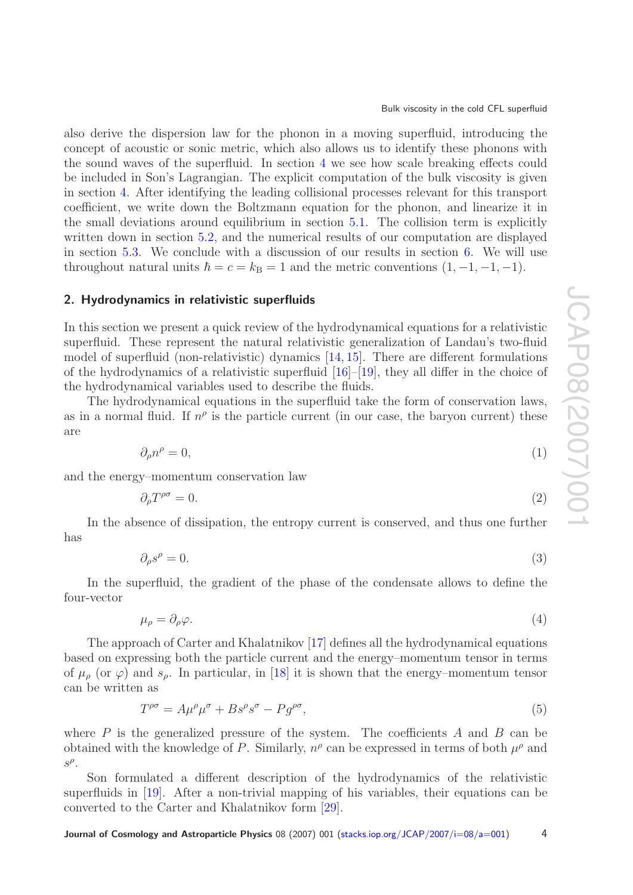also derive the dispersion law for the phonon in a moving superfluid, introducing the concept of acoustic or sonic metric, which also allows us to identify these phonons with the sound waves of the superfluid. In section [4](#page-8-0) we see how scale breaking effects could be included in Son's Lagrangian. The explicit computation of the bulk viscosity is given in section [4.](#page-8-0) After identifying the leading collisional processes relevant for this transport coefficient, we write down the Boltzmann equation for the phonon, and linearize it in the small deviations around equilibrium in section [5.1.](#page-10-0) The collision term is explicitly written down in section [5.2,](#page-12-0) and the numerical results of our computation are displayed in section [5.3.](#page-14-0) We conclude with a discussion of our results in section [6.](#page-16-0) We will use throughout natural units  $\hbar = c = k_B = 1$  and the metric conventions  $(1, -1, -1, -1)$ .

## <span id="page-4-0"></span>**2. Hydrodynamics in relativistic superfluids**

In this section we present a quick review of the hydrodynamical equations for a relativistic superfluid. These represent the natural relativistic generalization of Landau's two-fluid model of superfluid (non-relativistic) dynamics [\[14,](#page-18-5) [15\]](#page-18-6). There are different formulations of the hydrodynamics of a relativistic superfluid  $[16]$ – $[19]$ , they all differ in the choice of the hydrodynamical variables used to describe the fluids.

The hydrodynamical equations in the superfluid take the form of conservation laws, as in a normal fluid. If  $n^{\rho}$  is the particle current (in our case, the baryon current) these are

$$
\partial_{\rho}n^{\rho} = 0,\tag{1}
$$

and the energy–momentum conservation law

$$
\partial_{\rho}T^{\rho\sigma} = 0. \tag{2}
$$

In the absence of dissipation, the entropy current is conserved, and thus one further has

$$
\partial_{\rho} s^{\rho} = 0. \tag{3}
$$

In the superfluid, the gradient of the phase of the condensate allows to define the four-vector

$$
\mu_{\rho} = \partial_{\rho} \varphi. \tag{4}
$$

The approach of Carter and Khalatnikov [\[17\]](#page-18-15) defines all the hydrodynamical equations based on expressing both the particle current and the energy–momentum tensor in terms of  $\mu_{\rho}$  (or  $\varphi$ ) and  $s_{\rho}$ . In particular, in [\[18\]](#page-18-16) it is shown that the energy–momentum tensor can be written as

$$
T^{\rho\sigma} = A\mu^{\rho}\mu^{\sigma} + Bs^{\rho}s^{\sigma} - Pg^{\rho\sigma},\tag{5}
$$

where  $P$  is the generalized pressure of the system. The coefficients  $A$  and  $B$  can be obtained with the knowledge of P. Similarly,  $n^{\rho}$  can be expressed in terms of both  $\mu^{\rho}$  and  $s^{\rho}$ .

Son formulated a different description of the hydrodynamics of the relativistic superfluids in [\[19\]](#page-18-8). After a non-trivial mapping of his variables, their equations can be converted to the Carter and Khalatnikov form [\[29\]](#page-18-17).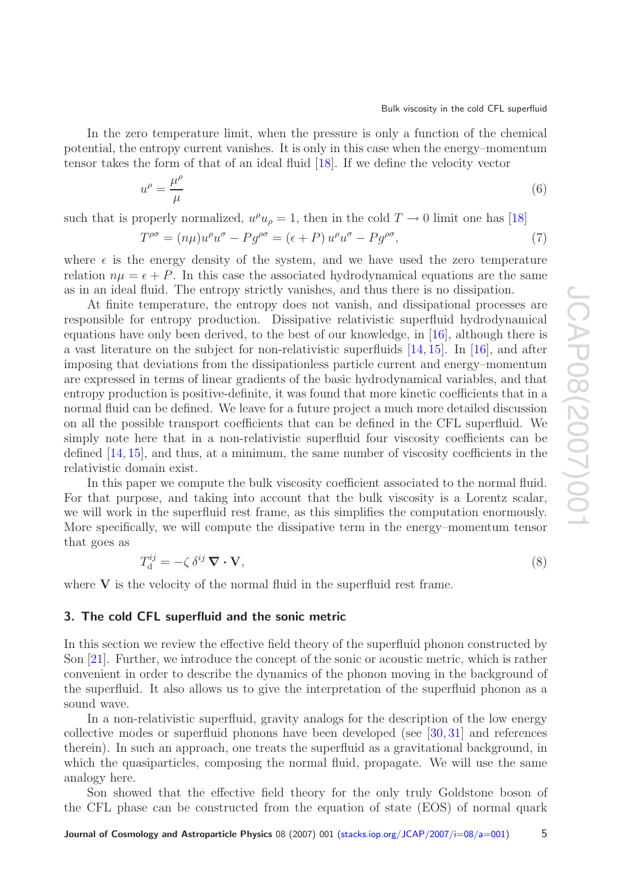In the zero temperature limit, when the pressure is only a function of the chemical potential, the entropy current vanishes. It is only in this case when the energy–momentum tensor takes the form of that of an ideal fluid [\[18\]](#page-18-16). If we define the velocity vector

$$
u^{\rho} = \frac{\mu^{\rho}}{\mu} \tag{6}
$$

such that is properly normalized,  $u^{\rho}u_{\rho} = 1$ , then in the cold  $T \rightarrow 0$  limit one has [\[18\]](#page-18-16)

$$
T^{\rho\sigma} = (n\mu)u^{\rho}u^{\sigma} - Pg^{\rho\sigma} = (\epsilon + P)u^{\rho}u^{\sigma} - Pg^{\rho\sigma}, \tag{7}
$$

where  $\epsilon$  is the energy density of the system, and we have used the zero temperature relation  $n\mu = \epsilon + P$ . In this case the associated hydrodynamical equations are the same as in an ideal fluid. The entropy strictly vanishes, and thus there is no dissipation.

At finite temperature, the entropy does not vanish, and dissipational processes are responsible for entropy production. Dissipative relativistic superfluid hydrodynamical equations have only been derived, to the best of our knowledge, in [\[16\]](#page-18-7), although there is a vast literature on the subject for non-relativistic superfluids [\[14,](#page-18-5) [15\]](#page-18-6). In [\[16\]](#page-18-7), and after imposing that deviations from the dissipationless particle current and energy–momentum are expressed in terms of linear gradients of the basic hydrodynamical variables, and that entropy production is positive-definite, it was found that more kinetic coefficients that in a normal fluid can be defined. We leave for a future project a much more detailed discussion on all the possible transport coefficients that can be defined in the CFL superfluid. We simply note here that in a non-relativistic superfluid four viscosity coefficients can be defined [\[14,](#page-18-5) [15\]](#page-18-6), and thus, at a minimum, the same number of viscosity coefficients in the relativistic domain exist.

In this paper we compute the bulk viscosity coefficient associated to the normal fluid. For that purpose, and taking into account that the bulk viscosity is a Lorentz scalar, we will work in the superfluid rest frame, as this simplifies the computation enormously. More specifically, we will compute the dissipative term in the energy–momentum tensor that goes as

$$
T_{\rm d}^{ij} = -\zeta \,\delta^{ij} \,\mathbf{\nabla} \cdot \mathbf{V},\tag{8}
$$

where **V** is the velocity of the normal fluid in the superfluid rest frame.

## <span id="page-5-0"></span>**3. The cold CFL superfluid and the sonic metric**

In this section we review the effective field theory of the superfluid phonon constructed by Son [\[21\]](#page-18-10). Further, we introduce the concept of the sonic or acoustic metric, which is rather convenient in order to describe the dynamics of the phonon moving in the background of the superfluid. It also allows us to give the interpretation of the superfluid phonon as a sound wave.

In a non-relativistic superfluid, gravity analogs for the description of the low energy collective modes or superfluid phonons have been developed (see [\[30,](#page-18-18) [31\]](#page-18-19) and references therein). In such an approach, one treats the superfluid as a gravitational background, in which the quasiparticles, composing the normal fluid, propagate. We will use the same analogy here.

Son showed that the effective field theory for the only truly Goldstone boson of the CFL phase can be constructed from the equation of state (EOS) of normal quark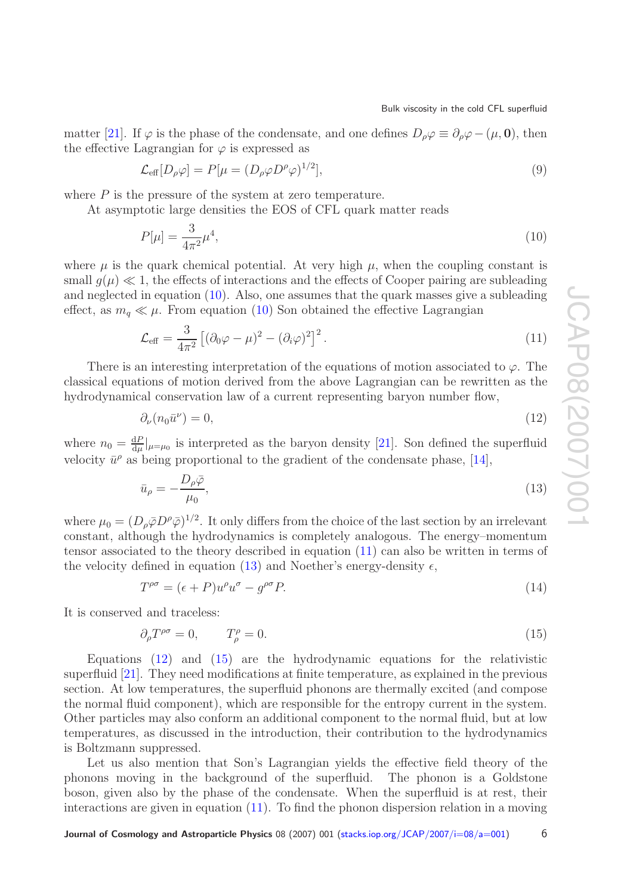matter [\[21\]](#page-18-10). If  $\varphi$  is the phase of the condensate, and one defines  $D_{\rho}\varphi \equiv \partial_{\rho}\varphi - (\mu, 0)$ , then the effective Lagrangian for  $\varphi$  is expressed as

$$
\mathcal{L}_{\text{eff}}[D_{\rho}\varphi] = P[\mu = (D_{\rho}\varphi D^{\rho}\varphi)^{1/2}], \qquad (9)
$$

where  $P$  is the pressure of the system at zero temperature.

At asymptotic large densities the EOS of CFL quark matter reads

<span id="page-6-0"></span>
$$
P[\mu] = \frac{3}{4\pi^2} \mu^4,\tag{10}
$$

where  $\mu$  is the quark chemical potential. At very high  $\mu$ , when the coupling constant is small  $g(\mu) \ll 1$ , the effects of interactions and the effects of Cooper pairing are subleading and neglected in equation [\(10\)](#page-6-0). Also, one assumes that the quark masses give a subleading effect, as  $m_q \ll \mu$ . From equation [\(10\)](#page-6-0) Son obtained the effective Lagrangian

<span id="page-6-1"></span>
$$
\mathcal{L}_{\text{eff}} = \frac{3}{4\pi^2} \left[ (\partial_0 \varphi - \mu)^2 - (\partial_i \varphi)^2 \right]^2.
$$
 (11)

There is an interesting interpretation of the equations of motion associated to  $\varphi$ . The classical equations of motion derived from the above Lagrangian can be rewritten as the hydrodynamical conservation law of a current representing baryon number flow,

<span id="page-6-3"></span>
$$
\partial_{\nu}(n_0\bar{u}^{\nu}) = 0,\tag{12}
$$

where  $n_0 = \frac{dP}{d\mu}|_{\mu=\mu_0}$  is interpreted as the baryon density [\[21\]](#page-18-10). Son defined the superfluid velocity  $\bar{u}^{\rho}$  as being proportional to the gradient of the condensate phase, [\[14\]](#page-18-5),

<span id="page-6-2"></span>
$$
\bar{u}_{\rho} = -\frac{D_{\rho}\bar{\varphi}}{\mu_0},\tag{13}
$$

where  $\mu_0 = (D_\rho \bar{\varphi} D^\rho \bar{\varphi})^{1/2}$ . It only differs from the choice of the last section by an irrelevant constant, although the hydrodynamics is completely analogous. The energy–momentum tensor associated to the theory described in equation [\(11\)](#page-6-1) can also be written in terms of the velocity defined in equation [\(13\)](#page-6-2) and Noether's energy-density  $\epsilon$ ,

$$
T^{\rho\sigma} = (\epsilon + P)u^{\rho}u^{\sigma} - g^{\rho\sigma}P. \tag{14}
$$

It is conserved and traceless:

<span id="page-6-4"></span>
$$
\partial_{\rho}T^{\rho\sigma} = 0, \qquad T^{\rho}_{\rho} = 0. \tag{15}
$$

Equations [\(12\)](#page-6-3) and [\(15\)](#page-6-4) are the hydrodynamic equations for the relativistic superfluid [\[21\]](#page-18-10). They need modifications at finite temperature, as explained in the previous section. At low temperatures, the superfluid phonons are thermally excited (and compose the normal fluid component), which are responsible for the entropy current in the system. Other particles may also conform an additional component to the normal fluid, but at low temperatures, as discussed in the introduction, their contribution to the hydrodynamics is Boltzmann suppressed.

Let us also mention that Son's Lagrangian yields the effective field theory of the phonons moving in the background of the superfluid. The phonon is a Goldstone boson, given also by the phase of the condensate. When the superfluid is at rest, their interactions are given in equation [\(11\)](#page-6-1). To find the phonon dispersion relation in a moving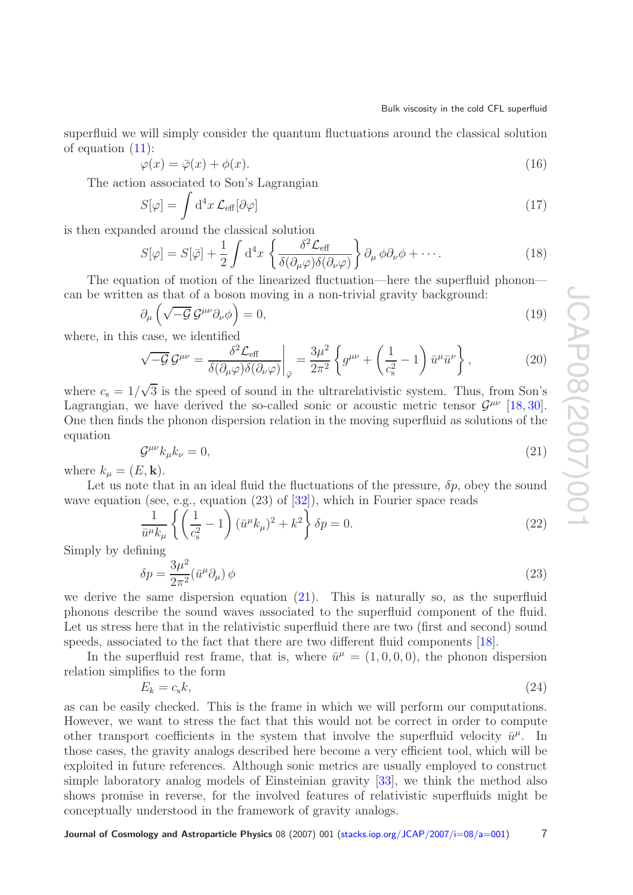superfluid we will simply consider the quantum fluctuations around the classical solution of equation [\(11\)](#page-6-1):

$$
\varphi(x) = \bar{\varphi}(x) + \phi(x). \tag{16}
$$

The action associated to Son's Lagrangian

$$
S[\varphi] = \int d^4x \, \mathcal{L}_{\text{eff}}[\partial \varphi] \tag{17}
$$

is then expanded around the classical solution

$$
S[\varphi] = S[\bar{\varphi}] + \frac{1}{2} \int d^4x \left\{ \frac{\delta^2 \mathcal{L}_{\text{eff}}}{\delta(\partial_\mu \varphi) \delta(\partial_\nu \varphi)} \right\} \partial_\mu \phi \partial_\nu \phi + \cdots. \tag{18}
$$

The equation of motion of the linearized fluctuation—here the superfluid phonon can be written as that of a boson moving in a non-trivial gravity background:

$$
\partial_{\mu} \left( \sqrt{-\mathcal{G}} \, \mathcal{G}^{\mu\nu} \partial_{\nu} \phi \right) = 0, \tag{19}
$$

where, in this case, we identified

$$
\sqrt{-\mathcal{G}}\,\mathcal{G}^{\mu\nu} = \frac{\delta^2 \mathcal{L}_{\text{eff}}}{\delta(\partial_{\mu}\varphi)\delta(\partial_{\nu}\varphi)}\bigg|_{\bar{\varphi}} = \frac{3\mu^2}{2\pi^2} \left\{ g^{\mu\nu} + \left(\frac{1}{c_\text{s}^2} - 1\right) \bar{u}^{\mu} \bar{u}^{\nu} \right\},\tag{20}
$$

where  $c_{\rm s} = 1/$ √ 3 is the speed of sound in the ultrarelativistic system. Thus, from Son's Lagrangian, we have derived the so-called sonic or acoustic metric tensor  $\mathcal{G}^{\mu\nu}$  [\[18,](#page-18-16) [30\]](#page-18-18). One then finds the phonon dispersion relation in the moving superfluid as solutions of the equation

$$
\mathcal{G}^{\mu\nu}k_{\mu}k_{\nu}=0,\tag{21}
$$

<span id="page-7-0"></span>where  $k_{\mu} = (E, \mathbf{k}).$ 

Let us note that in an ideal fluid the fluctuations of the pressure,  $\delta p$ , obey the sound wave equation (see, e.g., equation (23) of [\[32\]](#page-18-20)), which in Fourier space reads

$$
\frac{1}{\bar{u}^{\mu}k_{\mu}}\left\{ \left(\frac{1}{c_{s}^{2}}-1\right)(\bar{u}^{\mu}k_{\mu})^{2}+k^{2}\right\} \delta p=0.
$$
\n(22)

Simply by defining

$$
\delta p = \frac{3\mu^2}{2\pi^2} (\bar{u}^\mu \partial_\mu) \phi \tag{23}
$$

we derive the same dispersion equation [\(21\)](#page-7-0). This is naturally so, as the superfluid phonons describe the sound waves associated to the superfluid component of the fluid. Let us stress here that in the relativistic superfluid there are two (first and second) sound speeds, associated to the fact that there are two different fluid components [\[18\]](#page-18-16).

In the superfluid rest frame, that is, where  $\bar{u}^{\mu} = (1, 0, 0, 0)$ , the phonon dispersion relation simplifies to the form

$$
E_k = c_s k,\tag{24}
$$

as can be easily checked. This is the frame in which we will perform our computations. However, we want to stress the fact that this would not be correct in order to compute other transport coefficients in the system that involve the superfluid velocity  $\bar{u}^{\mu}$ . In those cases, the gravity analogs described here become a very efficient tool, which will be exploited in future references. Although sonic metrics are usually employed to construct simple laboratory analog models of Einsteinian gravity [\[33\]](#page-18-21), we think the method also shows promise in reverse, for the involved features of relativistic superfluids might be conceptually understood in the framework of gravity analogs.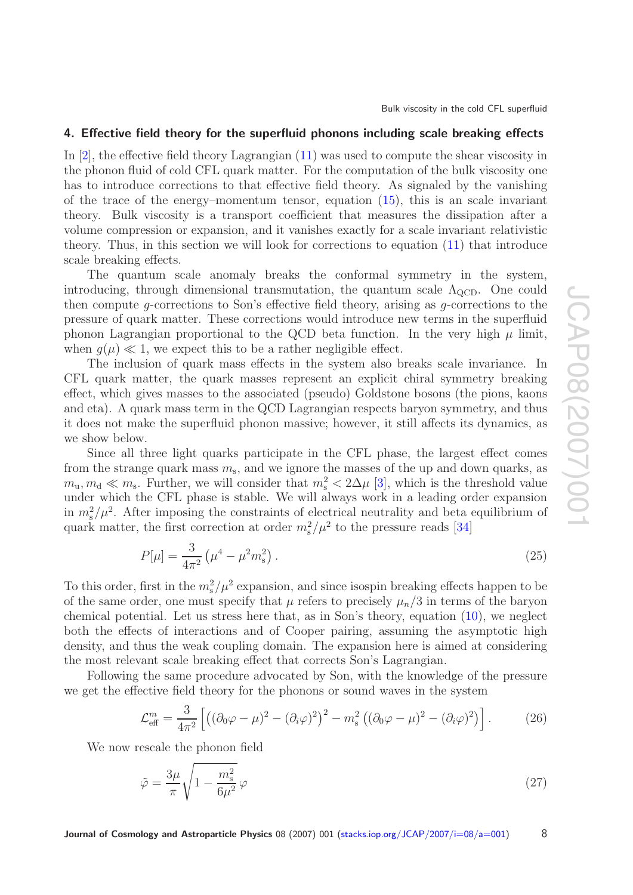## <span id="page-8-0"></span>**4. Effective field theory for the superfluid phonons including scale breaking effects**

In [\[2\]](#page-17-4), the effective field theory Lagrangian [\(11\)](#page-6-1) was used to compute the shear viscosity in the phonon fluid of cold CFL quark matter. For the computation of the bulk viscosity one has to introduce corrections to that effective field theory. As signaled by the vanishing of the trace of the energy–momentum tensor, equation [\(15\)](#page-6-4), this is an scale invariant theory. Bulk viscosity is a transport coefficient that measures the dissipation after a volume compression or expansion, and it vanishes exactly for a scale invariant relativistic theory. Thus, in this section we will look for corrections to equation [\(11\)](#page-6-1) that introduce scale breaking effects.

The quantum scale anomaly breaks the conformal symmetry in the system, introducing, through dimensional transmutation, the quantum scale  $\Lambda_{\text{QCD}}$ . One could then compute g-corrections to Son's effective field theory, arising as g-corrections to the pressure of quark matter. These corrections would introduce new terms in the superfluid phonon Lagrangian proportional to the QCD beta function. In the very high  $\mu$  limit, when  $g(\mu) \ll 1$ , we expect this to be a rather negligible effect.

The inclusion of quark mass effects in the system also breaks scale invariance. In CFL quark matter, the quark masses represent an explicit chiral symmetry breaking effect, which gives masses to the associated (pseudo) Goldstone bosons (the pions, kaons and eta). A quark mass term in the QCD Lagrangian respects baryon symmetry, and thus it does not make the superfluid phonon massive; however, it still affects its dynamics, as we show below.

Since all three light quarks participate in the CFL phase, the largest effect comes from the strange quark mass  $m_s$ , and we ignore the masses of the up and down quarks, as  $m_u, m_d \ll m_s$ . Further, we will consider that  $m_s^2 < 2\Delta\mu$  [\[3\]](#page-17-5), which is the threshold value under which the CFL phase is stable. We will always work in a leading order expansion in  $m_s^2/\mu^2$ . After imposing the constraints of electrical neutrality and beta equilibrium of quark matter, the first correction at order  $m_s^2/\mu^2$  to the pressure reads [\[34\]](#page-18-22)

$$
P[\mu] = \frac{3}{4\pi^2} \left(\mu^4 - \mu^2 m_s^2\right). \tag{25}
$$

To this order, first in the  $m_s^2/\mu^2$  expansion, and since isospin breaking effects happen to be of the same order, one must specify that  $\mu$  refers to precisely  $\mu_n/3$  in terms of the baryon chemical potential. Let us stress here that, as in Son's theory, equation [\(10\)](#page-6-0), we neglect both the effects of interactions and of Cooper pairing, assuming the asymptotic high density, and thus the weak coupling domain. The expansion here is aimed at considering the most relevant scale breaking effect that corrects Son's Lagrangian.

Following the same procedure advocated by Son, with the knowledge of the pressure we get the effective field theory for the phonons or sound waves in the system

$$
\mathcal{L}_{\text{eff}}^m = \frac{3}{4\pi^2} \left[ \left( (\partial_0 \varphi - \mu)^2 - (\partial_i \varphi)^2 \right)^2 - m_s^2 \left( (\partial_0 \varphi - \mu)^2 - (\partial_i \varphi)^2 \right) \right]. \tag{26}
$$

We now rescale the phonon field

$$
\tilde{\varphi} = \frac{3\mu}{\pi} \sqrt{1 - \frac{m_\text{s}^2}{6\mu^2}} \varphi \tag{27}
$$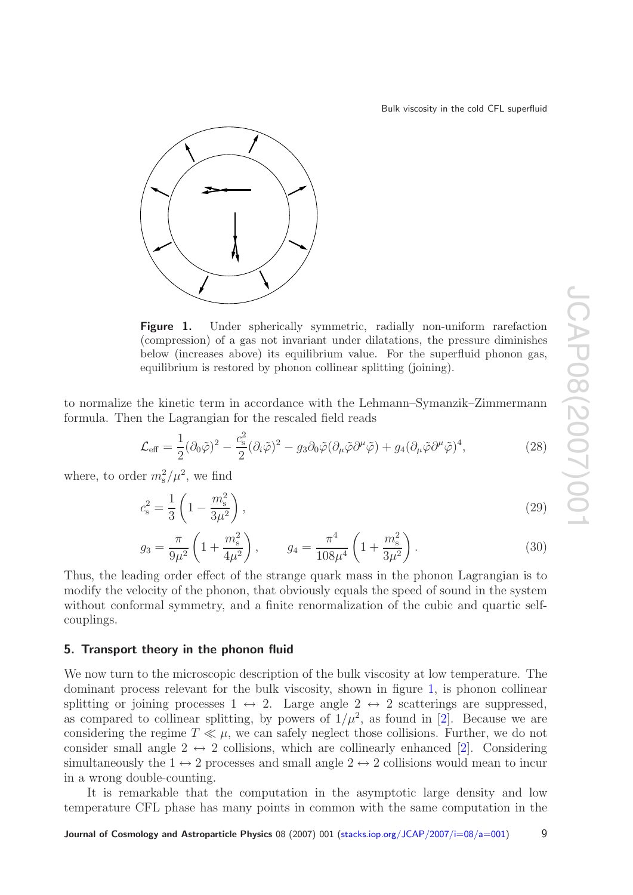<span id="page-9-1"></span>

Figure 1. Under spherically symmetric, radially non-uniform rarefaction (compression) of a gas not invariant under dilatations, the pressure diminishes below (increases above) its equilibrium value. For the superfluid phonon gas, equilibrium is restored by phonon collinear splitting (joining).

to normalize the kinetic term in accordance with the Lehmann–Symanzik–Zimmermann formula. Then the Lagrangian for the rescaled field reads

$$
\mathcal{L}_{\text{eff}} = \frac{1}{2} (\partial_0 \tilde{\varphi})^2 - \frac{c_s^2}{2} (\partial_i \tilde{\varphi})^2 - g_3 \partial_0 \tilde{\varphi} (\partial_\mu \tilde{\varphi} \partial^\mu \tilde{\varphi}) + g_4 (\partial_\mu \tilde{\varphi} \partial^\mu \tilde{\varphi})^4, \tag{28}
$$

where, to order  $m_s^2/\mu^2$ , we find

<span id="page-9-2"></span>
$$
c_s^2 = \frac{1}{3} \left( 1 - \frac{m_s^2}{3\mu^2} \right),\tag{29}
$$

$$
g_3 = \frac{\pi}{9\mu^2} \left( 1 + \frac{m_s^2}{4\mu^2} \right), \qquad g_4 = \frac{\pi^4}{108\mu^4} \left( 1 + \frac{m_s^2}{3\mu^2} \right). \tag{30}
$$

Thus, the leading order effect of the strange quark mass in the phonon Lagrangian is to modify the velocity of the phonon, that obviously equals the speed of sound in the system without conformal symmetry, and a finite renormalization of the cubic and quartic selfcouplings.

## <span id="page-9-0"></span>**5. Transport theory in the phonon fluid**

We now turn to the microscopic description of the bulk viscosity at low temperature. The dominant process relevant for the bulk viscosity, shown in figure [1,](#page-9-1) is phonon collinear splitting or joining processes  $1 \leftrightarrow 2$ . Large angle  $2 \leftrightarrow 2$  scatterings are suppressed, as compared to collinear splitting, by powers of  $1/\mu^2$ , as found in [\[2\]](#page-17-4). Because we are considering the regime  $T \ll \mu$ , we can safely neglect those collisions. Further, we do not consider small angle  $2 \leftrightarrow 2$  collisions, which are collinearly enhanced [\[2\]](#page-17-4). Considering simultaneously the  $1 \leftrightarrow 2$  processes and small angle  $2 \leftrightarrow 2$  collisions would mean to incur in a wrong double-counting.

It is remarkable that the computation in the asymptotic large density and low temperature CFL phase has many points in common with the same computation in the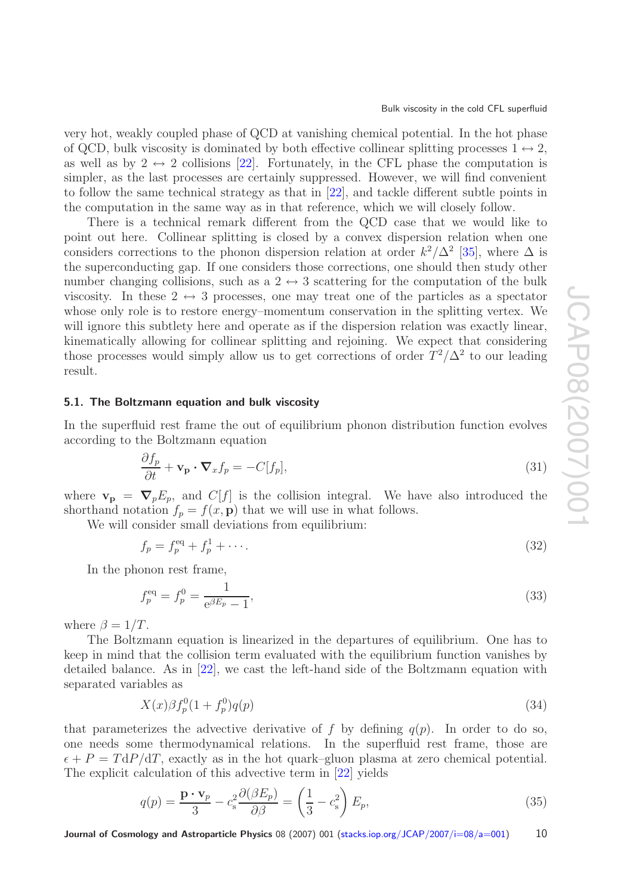very hot, weakly coupled phase of QCD at vanishing chemical potential. In the hot phase of QCD, bulk viscosity is dominated by both effective collinear splitting processes  $1 \leftrightarrow 2$ , as well as by  $2 \leftrightarrow 2$  collisions [\[22\]](#page-18-11). Fortunately, in the CFL phase the computation is simpler, as the last processes are certainly suppressed. However, we will find convenient to follow the same technical strategy as that in [\[22\]](#page-18-11), and tackle different subtle points in the computation in the same way as in that reference, which we will closely follow.

There is a technical remark different from the QCD case that we would like to point out here. Collinear splitting is closed by a convex dispersion relation when one considers corrections to the phonon dispersion relation at order  $k^2/\Delta^2$  [\[35\]](#page-18-23), where  $\Delta$  is the superconducting gap. If one considers those corrections, one should then study other number changing collisions, such as a  $2 \leftrightarrow 3$  scattering for the computation of the bulk viscosity. In these  $2 \leftrightarrow 3$  processes, one may treat one of the particles as a spectator whose only role is to restore energy–momentum conservation in the splitting vertex. We will ignore this subtlety here and operate as if the dispersion relation was exactly linear, kinematically allowing for collinear splitting and rejoining. We expect that considering those processes would simply allow us to get corrections of order  $T^2/\Delta^2$  to our leading result.

#### <span id="page-10-0"></span>**5.1. The Boltzmann equation and bulk viscosity**

In the superfluid rest frame the out of equilibrium phonon distribution function evolves according to the Boltzmann equation

$$
\frac{\partial f_p}{\partial t} + \mathbf{v_p} \cdot \nabla_x f_p = -C[f_p],\tag{31}
$$

where  $\mathbf{v_p} = \nabla_p E_p$ , and  $C[f]$  is the collision integral. We have also introduced the shorthand notation  $f_p = f(x, \mathbf{p})$  that we will use in what follows.

We will consider small deviations from equilibrium:

$$
f_p = f_p^{\text{eq}} + f_p^1 + \dotsb \tag{32}
$$

In the phonon rest frame,

$$
f_p^{\text{eq}} = f_p^0 = \frac{1}{e^{\beta E_p} - 1},\tag{33}
$$

where  $\beta = 1/T$ .

The Boltzmann equation is linearized in the departures of equilibrium. One has to keep in mind that the collision term evaluated with the equilibrium function vanishes by detailed balance. As in [\[22\]](#page-18-11), we cast the left-hand side of the Boltzmann equation with separated variables as

$$
X(x)\beta f_p^0(1+f_p^0)q(p) \tag{34}
$$

that parameterizes the advective derivative of f by defining  $q(p)$ . In order to do so, one needs some thermodynamical relations. In the superfluid rest frame, those are  $\epsilon + P = T dP/dT$ , exactly as in the hot quark–gluon plasma at zero chemical potential. The explicit calculation of this advective term in [\[22\]](#page-18-11) yields

<span id="page-10-1"></span>
$$
q(p) = \frac{\mathbf{p} \cdot \mathbf{v}_p}{3} - c_s^2 \frac{\partial (\beta E_p)}{\partial \beta} = \left(\frac{1}{3} - c_s^2\right) E_p,\tag{35}
$$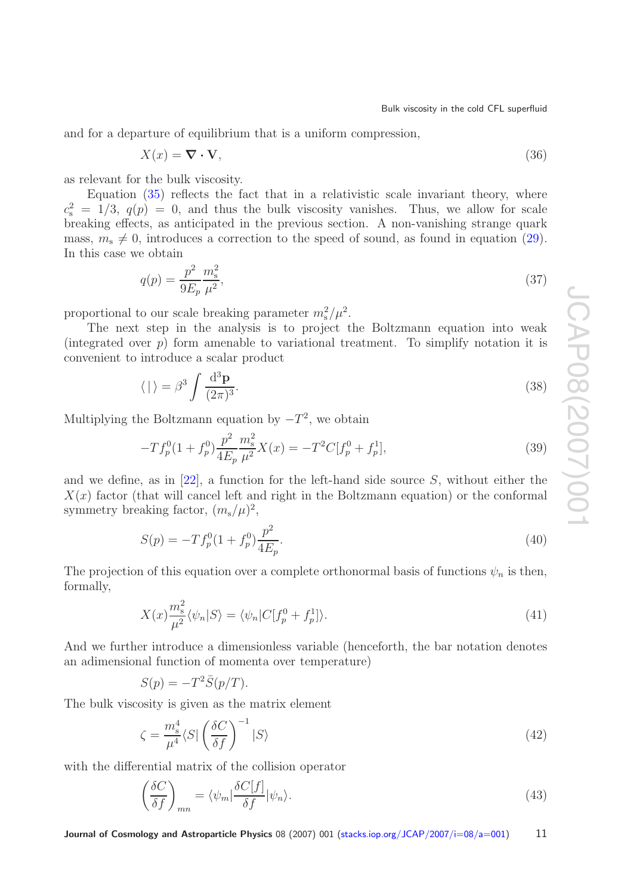and for a departure of equilibrium that is a uniform compression,

$$
X(x) = \nabla \cdot \mathbf{V},\tag{36}
$$

as relevant for the bulk viscosity.

Equation [\(35\)](#page-10-1) reflects the fact that in a relativistic scale invariant theory, where  $c_s^2 = 1/3$ ,  $q(p) = 0$ , and thus the bulk viscosity vanishes. Thus, we allow for scale breaking effects, as anticipated in the previous section. A non-vanishing strange quark mass,  $m_s \neq 0$ , introduces a correction to the speed of sound, as found in equation [\(29\)](#page-9-2). In this case we obtain

$$
q(p) = \frac{p^2}{9E_p} \frac{m_s^2}{\mu^2},\tag{37}
$$

proportional to our scale breaking parameter  $m_s^2/\mu^2$ .

The next step in the analysis is to project the Boltzmann equation into weak (integrated over  $p$ ) form amenable to variational treatment. To simplify notation it is convenient to introduce a scalar product

$$
\langle | \rangle = \beta^3 \int \frac{\mathrm{d}^3 \mathbf{p}}{(2\pi)^3}.
$$
 (38)

Multiplying the Boltzmann equation by  $-T^2$ , we obtain

$$
-Tf_p^0(1+f_p^0)\frac{p^2}{4E_p}\frac{m_s^2}{\mu^2}X(x) = -T^2C[f_p^0+f_p^1],\tag{39}
$$

and we define, as in  $[22]$ , a function for the left-hand side source S, without either the  $X(x)$  factor (that will cancel left and right in the Boltzmann equation) or the conformal symmetry breaking factor,  $(m_s/\mu)^2$ ,

<span id="page-11-0"></span>
$$
S(p) = -Tf_p^0(1+f_p^0)\frac{p^2}{4E_p}.\tag{40}
$$

The projection of this equation over a complete orthonormal basis of functions  $\psi_n$  is then, formally,

$$
X(x)\frac{m_s^2}{\mu^2}\langle\psi_n|S\rangle = \langle\psi_n|C[f_p^0 + f_p^1]\rangle.
$$
\n(41)

And we further introduce a dimensionless variable (henceforth, the bar notation denotes an adimensional function of momenta over temperature)

$$
S(p) = -T^2 \bar{S}(p/T).
$$

The bulk viscosity is given as the matrix element

<span id="page-11-1"></span>
$$
\zeta = \frac{m_s^4}{\mu^4} \langle S | \left( \frac{\delta C}{\delta f} \right)^{-1} | S \rangle \tag{42}
$$

with the differential matrix of the collision operator

$$
\left(\frac{\delta C}{\delta f}\right)_{mn} = \langle \psi_m | \frac{\delta C[f]}{\delta f} | \psi_n \rangle. \tag{43}
$$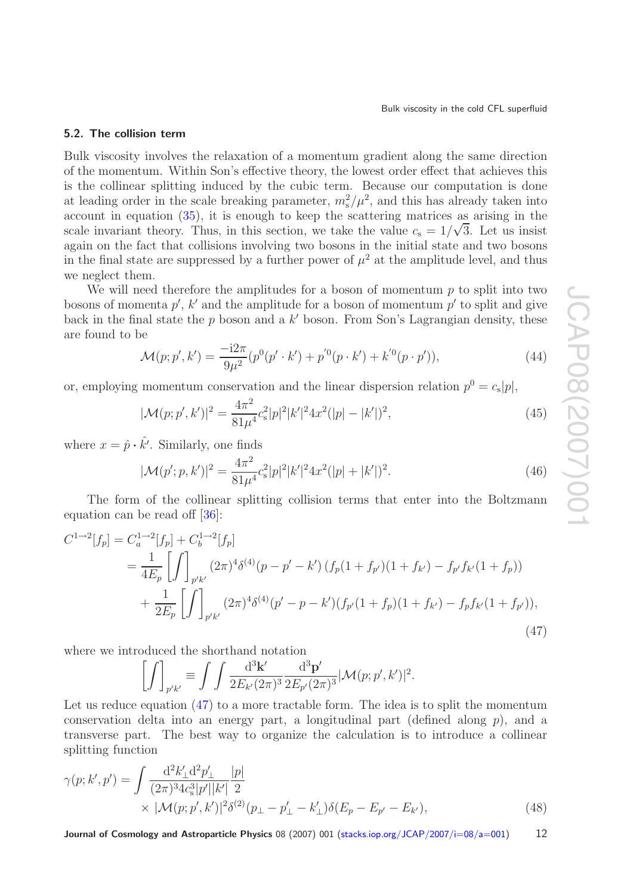## <span id="page-12-0"></span>**5.2. The collision term**

Bulk viscosity involves the relaxation of a momentum gradient along the same direction of the momentum. Within Son's effective theory, the lowest order effect that achieves this is the collinear splitting induced by the cubic term. Because our computation is done at leading order in the scale breaking parameter,  $m_s^2/\mu^2$ , and this has already taken into account in equation [\(35\)](#page-10-1), it is enough to keep the scattering matrices as arising in the scale invariant theory. Thus, in this section, we take the value  $c_s = 1/\sqrt{3}$ . Let us insist again on the fact that collisions involving two bosons in the initial state and two bosons in the final state are suppressed by a further power of  $\mu^2$  at the amplitude level, and thus we neglect them.

We will need therefore the amplitudes for a boson of momentum  $p$  to split into two bosons of momenta  $p'$ ,  $k'$  and the amplitude for a boson of momentum  $p'$  to split and give back in the final state the  $p$  boson and a  $k'$  boson. From Son's Lagrangian density, these are found to be

$$
\mathcal{M}(p; p', k') = \frac{-i2\pi}{9\mu^2} (p^0 (p' \cdot k') + p'^0 (p \cdot k') + k'^0 (p \cdot p')), \qquad (44)
$$

or, employing momentum conservation and the linear dispersion relation  $p^0 = c_s|p|$ ,

$$
|\mathcal{M}(p;p',k')|^2 = \frac{4\pi^2}{81\mu^4} c_s^2 |p|^2 |k'|^2 4x^2 (|p| - |k'|)^2,
$$
\n(45)

where  $x = \hat{p} \cdot \hat{k}'$ . Similarly, one finds

<span id="page-12-1"></span>
$$
|\mathcal{M}(p';p,k')|^2 = \frac{4\pi^2}{81\mu^4} c_s^2 |p|^2 |k'|^2 4x^2 (|p|+|k'|)^2.
$$
\n(46)

The form of the collinear splitting collision terms that enter into the Boltzmann equation can be read off [\[36\]](#page-18-24):

$$
C^{1\rightarrow 2}[f_p] = C_a^{1\rightarrow 2}[f_p] + C_b^{1\rightarrow 2}[f_p]
$$
  
= 
$$
\frac{1}{4E_p} \left[ \int \right]_{p'k'} (2\pi)^4 \delta^{(4)}(p - p' - k') (f_p(1 + f_{p'})(1 + f_{k'}) - f_{p'}f_{k'}(1 + f_p))
$$
  
+ 
$$
\frac{1}{2E_p} \left[ \int \right]_{p'k'} (2\pi)^4 \delta^{(4)}(p' - p - k') (f_{p'}(1 + f_p)(1 + f_{k'}) - f_pf_{k'}(1 + f_{p'})),
$$
(47)

where we introduced the shorthand notation

$$
\left[\int\right]_{p'k'} \equiv \int \int \frac{\mathrm{d}^3\mathbf{k}'}{2E_{k'}(2\pi)^3} \frac{\mathrm{d}^3\mathbf{p}'}{2E_{p'}(2\pi)^3} |\mathcal{M}(p; p', k')|^2.
$$

Let us reduce equation  $(47)$  to a more tractable form. The idea is to split the momentum conservation delta into an energy part, a longitudinal part (defined along  $p$ ), and a transverse part. The best way to organize the calculation is to introduce a collinear splitting function

<span id="page-12-2"></span>
$$
\gamma(p;k',p') = \int \frac{\mathrm{d}^2 k'_\perp \mathrm{d}^2 p'_\perp}{(2\pi)^3 4c_s^3 |p'||k'|} \frac{|p|}{2} \times |\mathcal{M}(p;p',k')|^2 \delta^{(2)}(p_\perp - p'_\perp - k'_\perp) \delta(E_p - E_{p'} - E_{k'}), \tag{48}
$$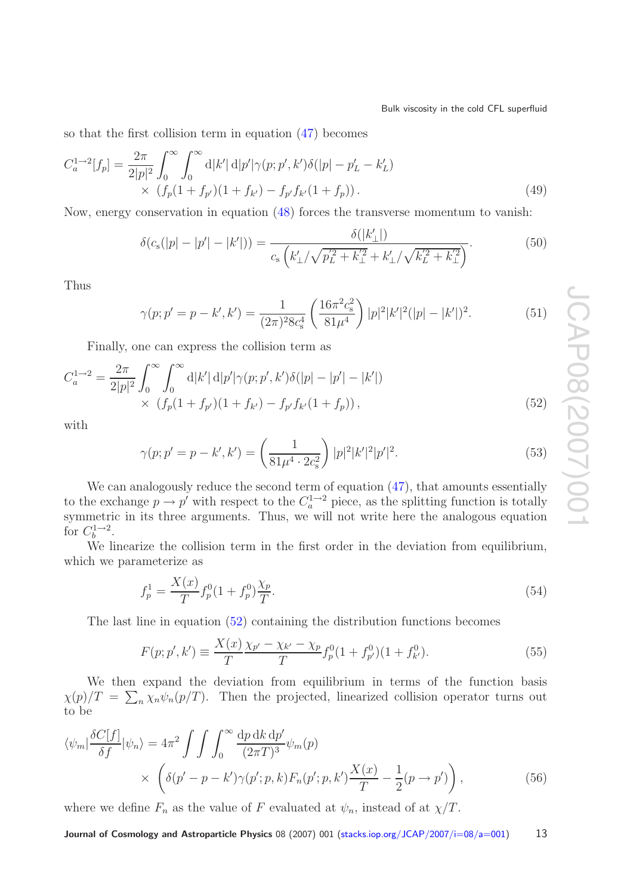so that the first collision term in equation [\(47\)](#page-12-1) becomes

$$
C_a^{1\to 2}[f_p] = \frac{2\pi}{2|p|^2} \int_0^\infty \int_0^\infty d|k'| \, d|p'| \gamma(p; p', k') \delta(|p| - p'_L - k'_L) \\
\times \left( f_p(1 + f_{p'}) (1 + f_{k'}) - f_{p'} f_{k'}(1 + f_p) \right).
$$
\n(49)

Now, energy conservation in equation [\(48\)](#page-12-2) forces the transverse momentum to vanish:

$$
\delta(c_{s}(|p| - |p'| - |k'|)) = \frac{\delta(|k'_{\perp}|)}{c_{s}\left(k'_{\perp}/\sqrt{p_{L}^{'2} + k_{\perp}^{'2}} + k'_{\perp}/\sqrt{k_{L}^{'2} + k_{\perp}^{'2}}\right)}.
$$
(50)

Thus

<span id="page-13-0"></span>
$$
\gamma(p; p' = p - k', k') = \frac{1}{(2\pi)^2 8c_s^4} \left(\frac{16\pi^2 c_s^2}{81\mu^4}\right) |p|^2 |k'|^2 (|p| - |k'|)^2. \tag{51}
$$

Finally, one can express the collision term as

$$
C_a^{1\to 2} = \frac{2\pi}{2|p|^2} \int_0^\infty \int_0^\infty d|k'| \, d|p'| \gamma(p; p', k') \delta(|p| - |p'| - |k'|) \times (f_p(1 + f_{p'}))(1 + f_{k'}) - f_{p'} f_{k'}(1 + f_p)), \tag{52}
$$

with

$$
\gamma(p; p' = p - k', k') = \left(\frac{1}{81\mu^4 \cdot 2c_s^2}\right) |p|^2 |k'|^2 |p'|^2. \tag{53}
$$

We can analogously reduce the second term of equation  $(47)$ , that amounts essentially to the exchange  $p \to p'$  with respect to the  $C_a^{1\to 2}$  piece, as the splitting function is totally symmetric in its three arguments. Thus, we will not write here the analogous equation for  $C_b^{1\rightarrow 2}$ .

We linearize the collision term in the first order in the deviation from equilibrium, which we parameterize as

$$
f_p^1 = \frac{X(x)}{T} f_p^0 (1 + f_p^0) \frac{\chi_p}{T}.
$$
\n(54)

The last line in equation [\(52\)](#page-13-0) containing the distribution functions becomes

<span id="page-13-2"></span>
$$
F(p; p', k') \equiv \frac{X(x)}{T} \frac{\chi_{p'} - \chi_{k'} - \chi_p}{T} f_p^0 (1 + f_{p'}^0)(1 + f_{k'}^0). \tag{55}
$$

We then expand the deviation from equilibrium in terms of the function basis  $\chi(p)/T = \sum_n \chi_n \psi_n(p/T)$ . Then the projected, linearized collision operator turns out to be

<span id="page-13-1"></span>
$$
\langle \psi_m | \frac{\delta C[f]}{\delta f} | \psi_n \rangle = 4\pi^2 \int \int \int_0^\infty \frac{dp \, dk \, dp'}{(2\pi T)^3} \psi_m(p)
$$

$$
\times \left( \delta(p' - p - k') \gamma(p'; p, k) F_n(p'; p, k') \frac{X(x)}{T} - \frac{1}{2}(p \to p') \right), \tag{56}
$$

where we define  $F_n$  as the value of F evaluated at  $\psi_n$ , instead of at  $\chi/T$ .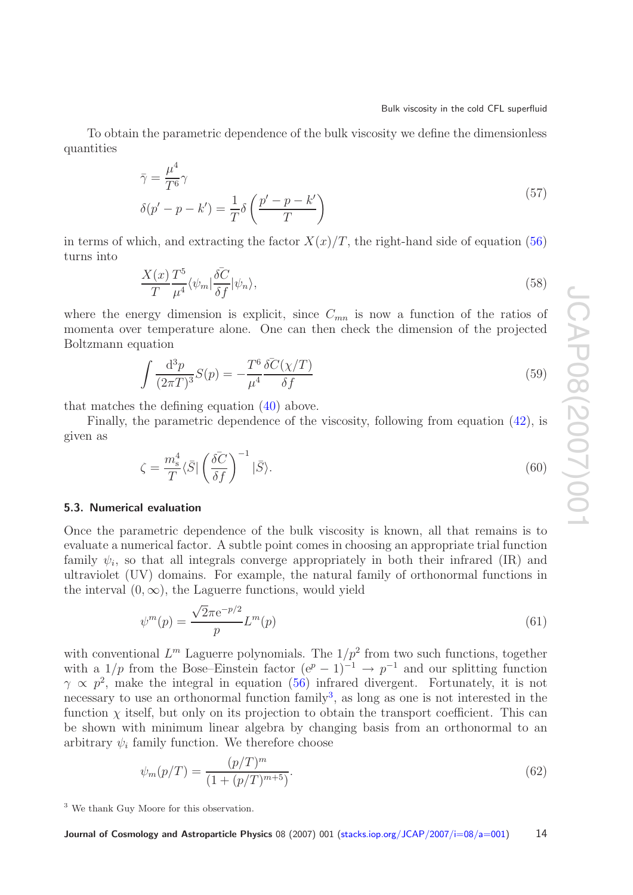To obtain the parametric dependence of the bulk viscosity we define the dimensionless quantities

$$
\bar{\gamma} = \frac{\mu^4}{T^6} \gamma
$$
  
\n
$$
\delta(p' - p - k') = \frac{1}{T} \delta\left(\frac{p' - p - k'}{T}\right)
$$
\n(57)

in terms of which, and extracting the factor  $X(x)/T$ , the right-hand side of equation [\(56\)](#page-13-1) turns into

$$
\frac{X(x)}{T}\frac{T^5}{\mu^4}\langle\psi_m|\frac{\delta\bar{C}}{\delta f}|\psi_n\rangle,\tag{58}
$$

where the energy dimension is explicit, since  $C_{mn}$  is now a function of the ratios of momenta over temperature alone. One can then check the dimension of the projected Boltzmann equation

$$
\int \frac{\mathrm{d}^3 p}{(2\pi T)^3} S(p) = -\frac{T^6}{\mu^4} \frac{\delta \bar{C}(\chi/T)}{\delta f} \tag{59}
$$

that matches the defining equation [\(40\)](#page-11-0) above.

<span id="page-14-2"></span>Finally, the parametric dependence of the viscosity, following from equation [\(42\)](#page-11-1), is given as

$$
\zeta = \frac{m_s^4}{T} \langle \bar{S} | \left( \frac{\delta \bar{C}}{\delta f} \right)^{-1} | \bar{S} \rangle. \tag{60}
$$

## <span id="page-14-0"></span>**5.3. Numerical evaluation**

Once the parametric dependence of the bulk viscosity is known, all that remains is to evaluate a numerical factor. A subtle point comes in choosing an appropriate trial function family  $\psi_i$ , so that all integrals converge appropriately in both their infrared (IR) and ultraviolet (UV) domains. For example, the natural family of orthonormal functions in the interval  $(0, \infty)$ , the Laguerre functions, would yield

$$
\psi^m(p) = \frac{\sqrt{2}\pi e^{-p/2}}{p} L^m(p)
$$
\n(61)

with conventional  $L^m$  Laguerre polynomials. The  $1/p^2$  from two such functions, together with a 1/p from the Bose–Einstein factor  $(e^p - 1)^{-1} \rightarrow p^{-1}$  and our splitting function  $\gamma \propto p^2$ , make the integral in equation [\(56\)](#page-13-1) infrared divergent. Fortunately, it is not necessary to use an orthonormal function family<sup>[3](#page-14-1)</sup>, as long as one is not interested in the function  $\chi$  itself, but only on its projection to obtain the transport coefficient. This can be shown with minimum linear algebra by changing basis from an orthonormal to an arbitrary  $\psi_i$  family function. We therefore choose

$$
\psi_m(p/T) = \frac{(p/T)^m}{(1 + (p/T)^{m+5})}.\tag{62}
$$

<span id="page-14-1"></span><sup>3</sup> We thank Guy Moore for this observation.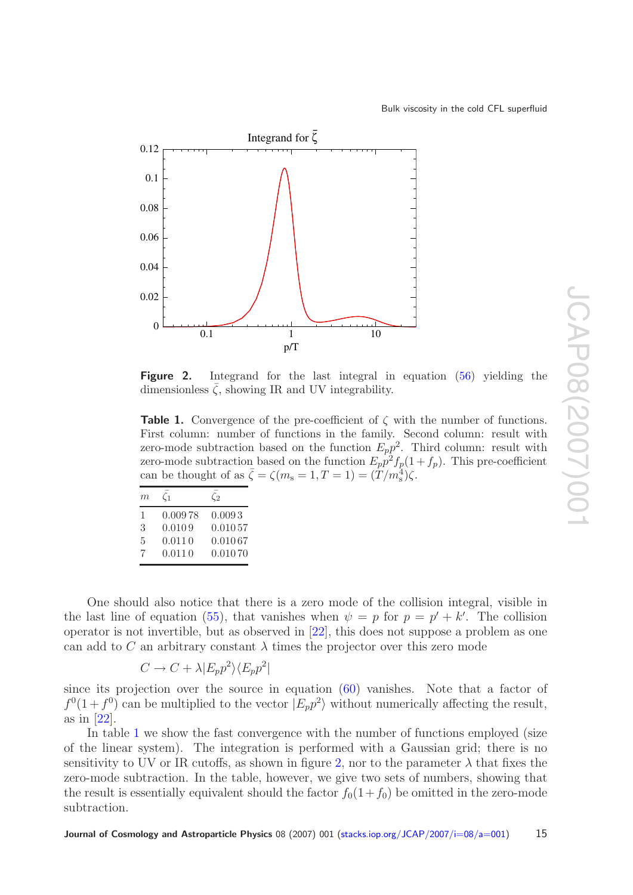Bulk viscosity in the cold CFL superfluid

<span id="page-15-1"></span>

**Figure 2.** Integrand for the last integral in equation [\(56\)](#page-13-1) yielding the dimensionless  $\zeta$ , showing IR and UV integrability.

<span id="page-15-0"></span>**Table 1.** Convergence of the pre-coefficient of  $\zeta$  with the number of functions. First column: number of functions in the family. Second column: result with zero-mode subtraction based on the function  $E_p p^2$ . Third column: result with zero-mode subtraction based on the function  $E_p p^2 f_p(1+f_p)$ . This pre-coefficient can be thought of as  $\bar{\zeta} = \zeta(m_{\rm s} = 1, T = 1) = (\overline{T}/m_{\rm s}^4)\zeta$ .

| $\boldsymbol{m}$ | Č1      | $\zeta_2$ |
|------------------|---------|-----------|
| 1                | 0.00978 | 0.0093    |
| 3                | 0.0109  | 0.01057   |
| 5                | 0.0110  | 0.01067   |
| 7                | 0.0110  | 0.01070   |

One should also notice that there is a zero mode of the collision integral, visible in the last line of equation [\(55\)](#page-13-2), that vanishes when  $\psi = p$  for  $p = p' + k'$ . The collision operator is not invertible, but as observed in [\[22\]](#page-18-11), this does not suppose a problem as one can add to C an arbitrary constant  $\lambda$  times the projector over this zero mode

$$
C \to C + \lambda |E_p p^2 \rangle \langle E_p p^2 |
$$

since its projection over the source in equation [\(60\)](#page-14-2) vanishes. Note that a factor of  $f^{0}(1+f^{0})$  can be multiplied to the vector  $|E_{p}p^{2}\rangle$  without numerically affecting the result, as in [\[22\]](#page-18-11).

In table [1](#page-15-0) we show the fast convergence with the number of functions employed (size of the linear system). The integration is performed with a Gaussian grid; there is no sensitivity to UV or IR cutoffs, as shown in figure [2,](#page-15-1) nor to the parameter  $\lambda$  that fixes the zero-mode subtraction. In the table, however, we give two sets of numbers, showing that the result is essentially equivalent should the factor  $f_0(1+f_0)$  be omitted in the zero-mode subtraction.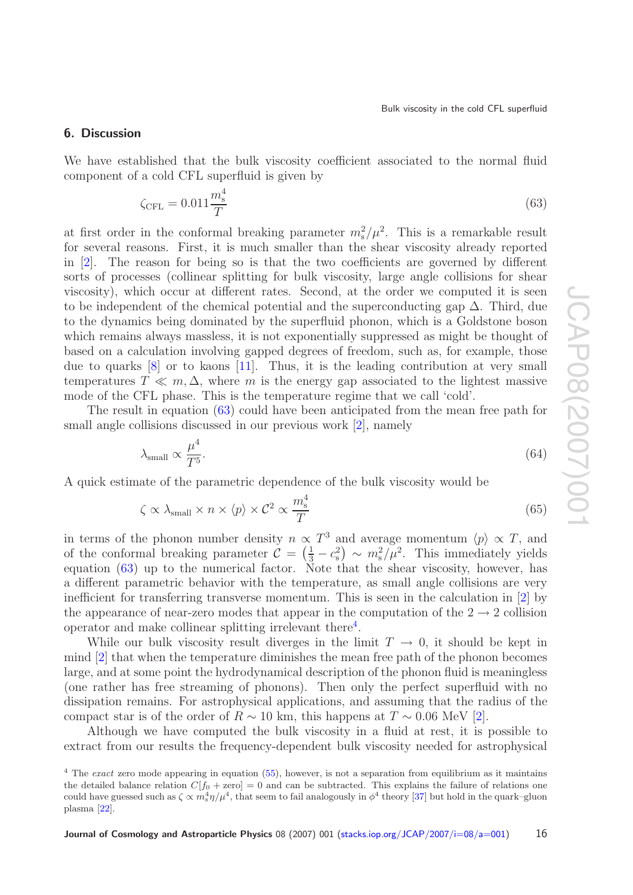## <span id="page-16-0"></span>**6. Discussion**

We have established that the bulk viscosity coefficient associated to the normal fluid component of a cold CFL superfluid is given by

<span id="page-16-1"></span>
$$
\zeta_{\rm CFL} = 0.011 \frac{m_s^4}{T} \tag{63}
$$

at first order in the conformal breaking parameter  $m_s^2/\mu^2$ . This is a remarkable result for several reasons. First, it is much smaller than the shear viscosity already reported in [\[2\]](#page-17-4). The reason for being so is that the two coefficients are governed by different sorts of processes (collinear splitting for bulk viscosity, large angle collisions for shear viscosity), which occur at different rates. Second, at the order we computed it is seen to be independent of the chemical potential and the superconducting gap  $\Delta$ . Third, due to the dynamics being dominated by the superfluid phonon, which is a Goldstone boson which remains always massless, it is not exponentially suppressed as might be thought of based on a calculation involving gapped degrees of freedom, such as, for example, those due to quarks [\[8\]](#page-18-25) or to kaons [\[11\]](#page-18-12). Thus, it is the leading contribution at very small temperatures  $T \ll m, \Delta$ , where m is the energy gap associated to the lightest massive mode of the CFL phase. This is the temperature regime that we call 'cold'.

The result in equation [\(63\)](#page-16-1) could have been anticipated from the mean free path for small angle collisions discussed in our previous work [\[2\]](#page-17-4), namely

$$
\lambda_{\text{small}} \propto \frac{\mu^4}{T^5}.\tag{64}
$$

A quick estimate of the parametric dependence of the bulk viscosity would be

$$
\zeta \propto \lambda_{\text{small}} \times n \times \langle p \rangle \times \mathcal{C}^2 \propto \frac{m_s^4}{T}
$$
\n(65)

in terms of the phonon number density  $n \propto T^3$  and average momentum  $\langle p \rangle \propto T$ , and of the conformal breaking parameter  $\mathcal{C} = \left(\frac{1}{3} - c_s^2\right) \sim m_s^2/\mu^2$ . This immediately yields equation [\(63\)](#page-16-1) up to the numerical factor. Note that the shear viscosity, however, has a different parametric behavior with the temperature, as small angle collisions are very inefficient for transferring transverse momentum. This is seen in the calculation in [\[2\]](#page-17-4) by the appearance of near-zero modes that appear in the computation of the  $2 \rightarrow 2$  collision operator and make collinear splitting irrelevant there $4$ .

While our bulk viscosity result diverges in the limit  $T \to 0$ , it should be kept in mind [\[2\]](#page-17-4) that when the temperature diminishes the mean free path of the phonon becomes large, and at some point the hydrodynamical description of the phonon fluid is meaningless (one rather has free streaming of phonons). Then only the perfect superfluid with no dissipation remains. For astrophysical applications, and assuming that the radius of the compact star is of the order of  $R \sim 10$  km, this happens at  $T \sim 0.06$  MeV [\[2\]](#page-17-4).

Although we have computed the bulk viscosity in a fluid at rest, it is possible to extract from our results the frequency-dependent bulk viscosity needed for astrophysical

<span id="page-16-2"></span> $4$  The *exact* zero mode appearing in equation  $(55)$ , however, is not a separation from equilibrium as it maintains the detailed balance relation  $C[f_0 + \text{zero}] = 0$  and can be subtracted. This explains the failure of relations one could have guessed such as  $\zeta \propto m_s^4 \eta/\mu^4$ , that seem to fail analogously in  $\phi^4$  theory [\[37\]](#page-18-26) but hold in the quark–gluon plasma [\[22\]](#page-18-11).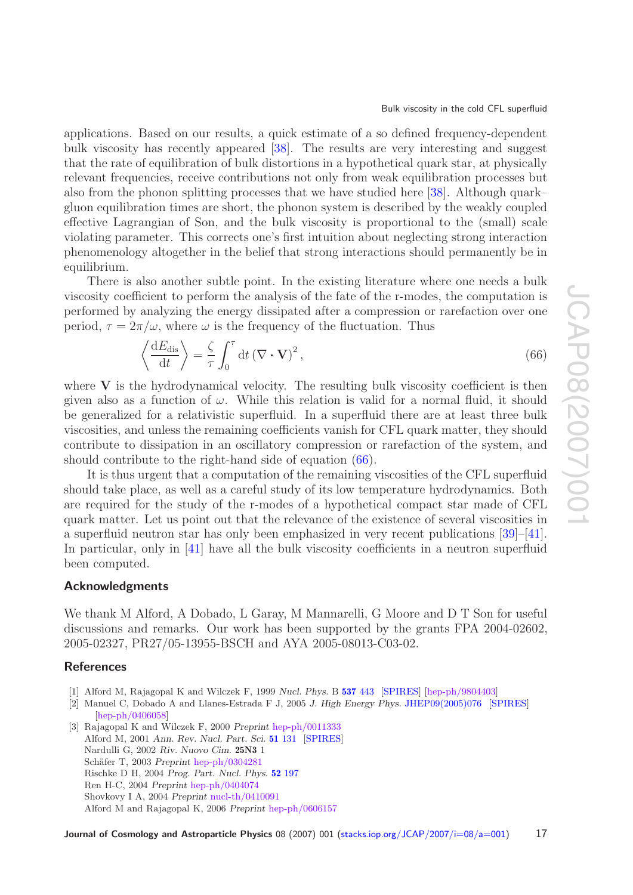applications. Based on our results, a quick estimate of a so defined frequency-dependent bulk viscosity has recently appeared [\[38\]](#page-18-27). The results are very interesting and suggest that the rate of equilibration of bulk distortions in a hypothetical quark star, at physically relevant frequencies, receive contributions not only from weak equilibration processes but also from the phonon splitting processes that we have studied here [\[38\]](#page-18-27). Although quark– gluon equilibration times are short, the phonon system is described by the weakly coupled effective Lagrangian of Son, and the bulk viscosity is proportional to the (small) scale violating parameter. This corrects one's first intuition about neglecting strong interaction phenomenology altogether in the belief that strong interactions should permanently be in equilibrium.

There is also another subtle point. In the existing literature where one needs a bulk viscosity coefficient to perform the analysis of the fate of the r-modes, the computation is performed by analyzing the energy dissipated after a compression or rarefaction over one period,  $\tau = 2\pi/\omega$ , where  $\omega$  is the frequency of the fluctuation. Thus

<span id="page-17-6"></span>
$$
\left\langle \frac{\mathrm{d}E_{\mathrm{dis}}}{\mathrm{d}t} \right\rangle = \frac{\zeta}{\tau} \int_0^\tau \mathrm{d}t \left( \nabla \cdot \mathbf{V} \right)^2,\tag{66}
$$

where **V** is the hydrodynamical velocity. The resulting bulk viscosity coefficient is then given also as a function of  $\omega$ . While this relation is valid for a normal fluid, it should be generalized for a relativistic superfluid. In a superfluid there are at least three bulk viscosities, and unless the remaining coefficients vanish for CFL quark matter, they should contribute to dissipation in an oscillatory compression or rarefaction of the system, and should contribute to the right-hand side of equation [\(66\)](#page-17-6).

It is thus urgent that a computation of the remaining viscosities of the CFL superfluid should take place, as well as a careful study of its low temperature hydrodynamics. Both are required for the study of the r-modes of a hypothetical compact star made of CFL quark matter. Let us point out that the relevance of the existence of several viscosities in a superfluid neutron star has only been emphasized in very recent publications [\[39\]](#page-18-28)–[\[41\]](#page-18-29). In particular, only in [\[41\]](#page-18-29) have all the bulk viscosity coefficients in a neutron superfluid been computed.

## <span id="page-17-1"></span>**Acknowledgments**

We thank M Alford, A Dobado, L Garay, M Mannarelli, G Moore and D T Son for useful discussions and remarks. Our work has been supported by the grants FPA 2004-02602, 2005-02327, PR27/05-13955-BSCH and AYA 2005-08013-C03-02.

## <span id="page-17-3"></span><span id="page-17-2"></span><span id="page-17-0"></span>**References**

- <span id="page-17-4"></span>[1] Alford M, Rajagopal K and Wilczek F, 1999 *Nucl. Phys.* B **537** [443](http://dx.doi.org/10.1016/S0550-3213(98)00668-3) [\[SPIRES\]](http://www-spires.slac.stanford.edu/spires/find/hep/www?j=NUPHA%2CB537%2C443) [\[hep-ph/9804403\]](http://arxiv.org/abs/hep-ph/9804403)
- [2] Manuel C, Dobado A and Llanes-Estrada F J, 2005 *J. High Energy Phys.* [JHEP09\(2005\)076](http://dx.doi.org/10.1088/1126-6708/2005/09/076) [\[SPIRES\]](http://www-spires.slac.stanford.edu/spires/find/hep/www?j=JHEPA%2C0509%2C076) [\[hep-ph/0406058\]](http://arxiv.org/abs/hep-ph/0406058)
- <span id="page-17-5"></span>[3] Rajagopal K and Wilczek F, 2000 *Preprint* [hep-ph/0011333](http://arxiv.org/abs/hep-ph/0011333) Alford M, 2001 *Ann. Rev. Nucl. Part. Sci.* **51** [131](http://dx.doi.org/10.1146/annurev.nucl.51.101701.132449) [\[SPIRES\]](http://www-spires.slac.stanford.edu/spires/find/hep/www?j=ARNUA%2C51%2C131) Nardulli G, 2002 *Riv. Nuovo Cim.* **25N3** 1 Schäfer T, 2003 Preprint [hep-ph/0304281](http://arxiv.org/abs/hep-ph/0304281) Rischke D H, 2004 *Prog. Part. Nucl. Phys.* **52** [197](http://dx.doi.org/10.1016/j.ppnp.2003.09.002) Ren H-C, 2004 *Preprint* [hep-ph/0404074](http://arxiv.org/abs/hep-ph/0404074) Shovkovy I A, 2004 *Preprint* [nucl-th/0410091](http://arxiv.org/abs/nucl-th/0410091) Alford M and Rajagopal K, 2006 *Preprint* [hep-ph/0606157](http://arxiv.org/abs/hep-ph/0606157)